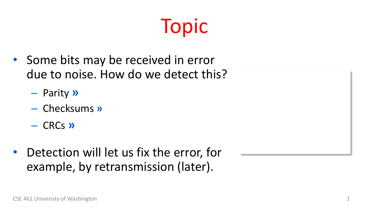#### Topic

- Some bits may be received in error due to noise. How do we detect this?
	- Parity **»**
	- Checksums **»**
	- CRCs **»**
- Detection will let us fix the error, for example, by retransmission (later).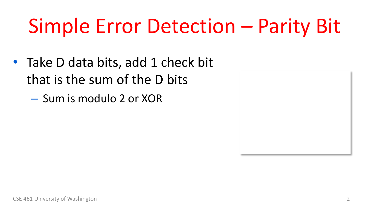## Simple Error Detection – Parity Bit

- Take D data bits, add 1 check bit that is the sum of the D bits
	- Sum is modulo 2 or XOR

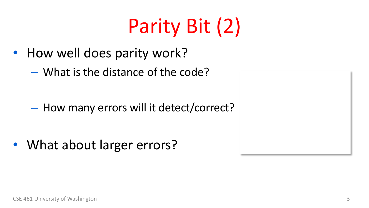## Parity Bit (2)

- How well does parity work?
	- What is the distance of the code?

– How many errors will it detect/correct?

• What about larger errors?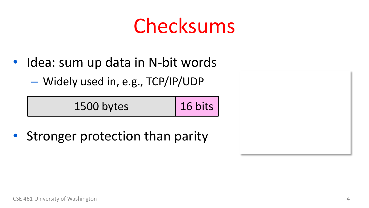#### Checksums

- Idea: sum up data in N-bit words
	- Widely used in, e.g., TCP/IP/UDP

| 1500 bytes | $ 16 \text{ bits} $ |
|------------|---------------------|
|------------|---------------------|

• Stronger protection than parity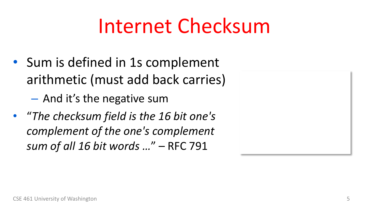#### Internet Checksum

- Sum is defined in 1s complement arithmetic (must add back carries)
	- And it's the negative sum
- "*The checksum field is the 16 bit one's complement of the one's complement sum of all 16 bit words …*" – RFC 791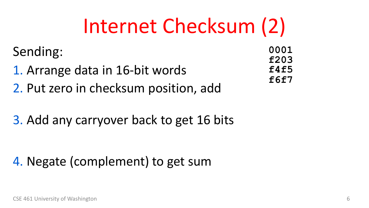#### Internet Checksum (2)

Sending:

- 1. Arrange data in 16-bit words 2. Put zero in checksum position, add
- 3. Add any carryover back to get 16 bits

4. Negate (complement) to get sum

**0001 f203 f4f5 f6f7**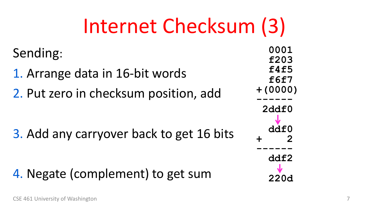#### Internet Checksum (3)

Sending:

1. Arrange data in 16-bit words 2. Put zero in checksum position, add

3. Add any carryover back to get 16 bits

4. Negate (complement) to get sum

| 0001<br>f203<br>f4f5<br>f6f7<br>$+ (0000)$ |
|--------------------------------------------|
|                                            |
| 2ddf0                                      |
| J<br>ddf0<br>2<br>╉                        |
|                                            |
| ddf2                                       |
|                                            |
| 220d                                       |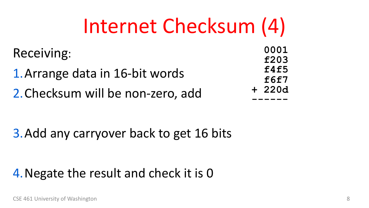#### Internet Checksum (4)

Receiving:

1.Arrange data in 16-bit words 2.Checksum will be non-zero, add

**0001 f203 f4f5 f6f7 + 220d ------**

3.Add any carryover back to get 16 bits

#### 4.Negate the result and check it is 0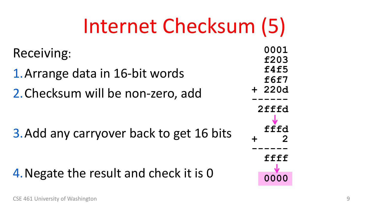#### Internet Checksum (5)

Receiving:

1.Arrange data in 16-bit words 2.Checksum will be non-zero, add

3.Add any carryover back to get 16 bits

4.Negate the result and check it is 0

| $\mathbf{I}$                         |  |
|--------------------------------------|--|
| 0001<br>f203<br>f4f5<br>f6f7<br>220d |  |
| 2fffd                                |  |
| fffd<br>2                            |  |
| ffff                                 |  |
|                                      |  |
| 0000                                 |  |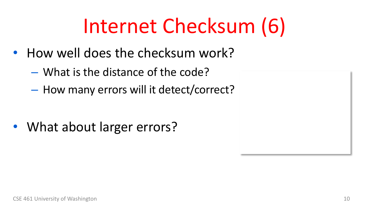## Internet Checksum (6)

- How well does the checksum work?
	- What is the distance of the code?
	- How many errors will it detect/correct?

• What about larger errors?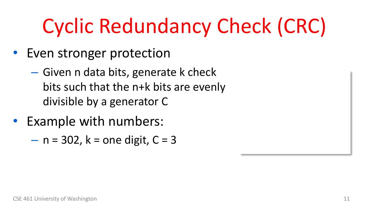# Cyclic Redundancy Check (CRC)

- Even stronger protection
	- Given n data bits, generate k check bits such that the n+k bits are evenly divisible by a generator C
- Example with numbers:
	- $n = 302$ ,  $k =$  one digit,  $C = 3$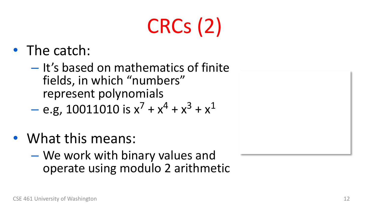# CRCs (2)

- The catch:
	- It's based on mathematics of finite fields, in which "numbers" represent polynomials

$$
-
$$
 e.g, 10011010 is  $x^7 + x^4 + x^3 + x^1$ 

- What this means:
	- We work with binary values and operate using modulo 2 arithmetic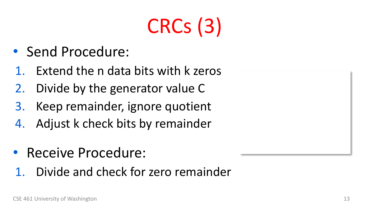# CRCs (3)

- Send Procedure:
- Extend the n data bits with k zeros
- 2. Divide by the generator value C
- 3. Keep remainder, ignore quotient
- 4. Adjust k check bits by remainder
- Receive Procedure:
- 1. Divide and check for zero remainder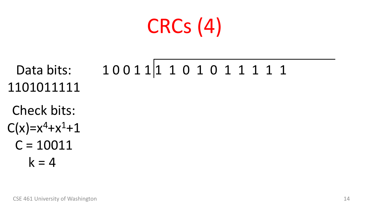## CRCs (4)

Data bits: 1101011111 1 0 0 1 1 1 1 0 1 0 1 1 1 1 1

Check bits:  $C(x)=x^4+x^1+1$  $C = 10011$  $k = 4$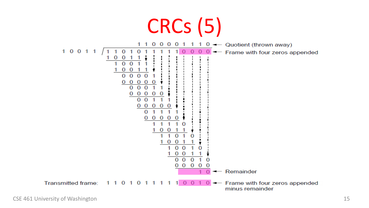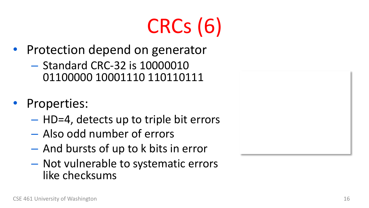# CRCs (6)

- Protection depend on generator
	- Standard CRC-32 is 10000010 01100000 10001110 110110111
- Properties:
	- HD=4, detects up to triple bit errors
	- Also odd number of errors
	- And bursts of up to k bits in error
	- Not vulnerable to systematic errors like checksums

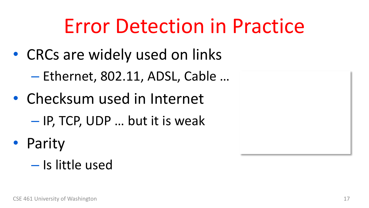#### Error Detection in Practice

- CRCs are widely used on links
	- Ethernet, 802.11, ADSL, Cable …
- Checksum used in Internet
	- IP, TCP, UDP … but it is weak
- Parity
	- Is little used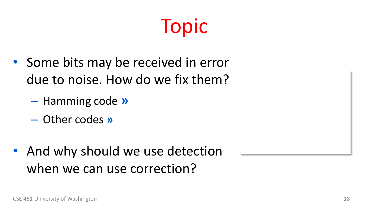#### Topic

- Some bits may be received in error due to noise. How do we fix them?
	- Hamming code **»**
	- Other codes **»**
- And why should we use detection when we can use correction?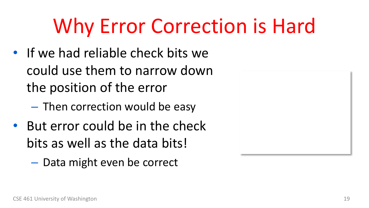## Why Error Correction is Hard

- If we had reliable check bits we could use them to narrow down the position of the error
	- Then correction would be easy
- But error could be in the check bits as well as the data bits!
	- Data might even be correct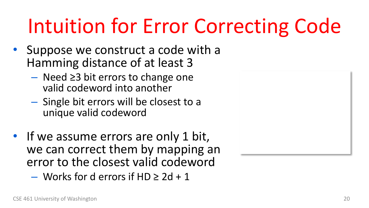## Intuition for Error Correcting Code

- Suppose we construct a code with a Hamming distance of at least 3
	- Need ≥3 bit errors to change one valid codeword into another
	- Single bit errors will be closest to a unique valid codeword
- If we assume errors are only 1 bit, we can correct them by mapping an error to the closest valid codeword
	- $-$  Works for d errors if HD  $\geq 2d + 1$

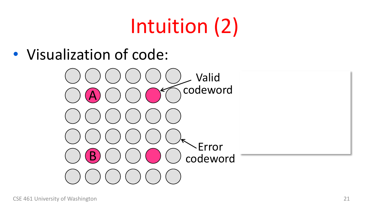# Intuition (2)

• Visualization of code:

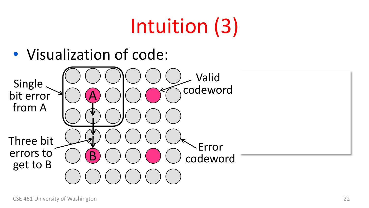# Intuition (3)

• Visualization of code:

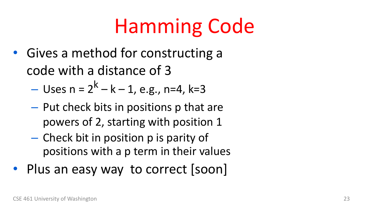## Hamming Code

- Gives a method for constructing a code with a distance of 3
	- Uses  $n = 2^k k 1$ , e.g., n=4, k=3
	- Put check bits in positions p that are powers of 2, starting with position 1
	- Check bit in position p is parity of positions with a p term in their values
- Plus an easy way to correct [soon]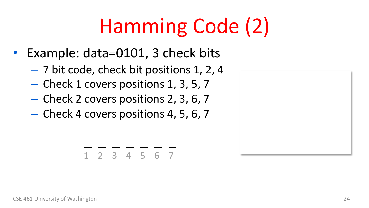# Hamming Code (2)

- Example: data=0101, 3 check bits
	- 7 bit code, check bit positions 1, 2, 4
	- Check 1 covers positions 1, 3, 5, 7
	- Check 2 covers positions 2, 3, 6, 7
	- Check 4 covers positions 4, 5, 6, 7

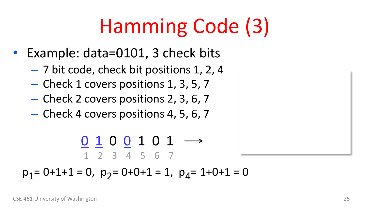# Hamming Code (3)

- Example: data=0101, 3 check bits
	- 7 bit code, check bit positions 1, 2, 4
	- Check 1 covers positions 1, 3, 5, 7
	- Check 2 covers positions 2, 3, 6, 7
	- Check 4 covers positions 4, 5, 6, 7

0 1 0 0 1 0 1 1 2 3 4 5 6 7

 $p_1 = 0+1+1 = 0$ ,  $p_2 = 0+0+1 = 1$ ,  $p_4 = 1+0+1 = 0$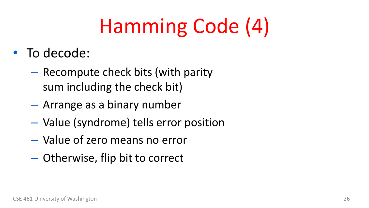# Hamming Code (4)

- To decode:
	- Recompute check bits (with parity sum including the check bit)
	- Arrange as a binary number
	- Value (syndrome) tells error position
	- Value of zero means no error
	- Otherwise, flip bit to correct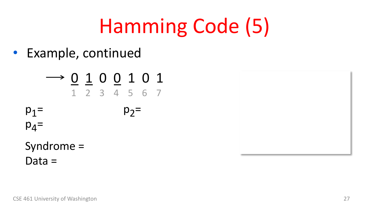# Hamming Code (5)

• Example, continued

$$
\longrightarrow \underbrace{0}_{1} \underbrace{1}_{2} \underbrace{0}_{3} \underbrace{0}_{4} \underbrace{1}_{5} \underbrace{0}_{6} \underbrace{1}_{7}
$$

$$
p_1 = p_2 =
$$

 $p_4$ =

Syndrome = Data =

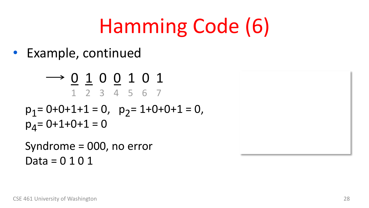# Hamming Code (6)

• Example, continued

$$
\longrightarrow \underbrace{0}_{1} \underbrace{1}_{2} \underbrace{0}_{3} \underbrace{0}_{4} \underbrace{1}_{5} \underbrace{0}_{6} \underbrace{1}_{7}
$$

$$
p_1 = 0 + 0 + 1 + 1 = 0, \quad p_2 = 1 + 0 + 0 + 1 = 0, p_4 = 0 + 1 + 0 + 1 = 0
$$

Syndrome = 000, no error Data = 0 1 0 1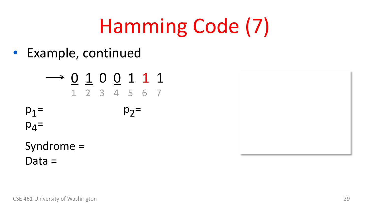# Hamming Code (7)

• Example, continued

$$
\longrightarrow \underbrace{0}_{1} \underbrace{1}_{2} \underbrace{0}_{3} \underbrace{0}_{4} \underbrace{1}_{5} \underbrace{1}_{6} \underbrace{1}_{7}
$$

$$
p_1 = p_2 =
$$

 $p_4$ =

Syndrome = Data =

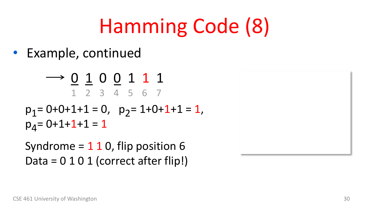# Hamming Code (8)

• Example, continued

 $\rightarrow$  0 1 0 0 1 1 1 1 2 3 4 5 6 7

 $p_1$  = 0+0+1+1 = 0,  $p_2$  = 1+0+1+1 = 1,  $p_A = 0 + 1 + 1 + 1 = 1$ 

Syndrome  $= 1 1 0$ , flip position 6 Data =  $0 1 0 1$  (correct after flip!)

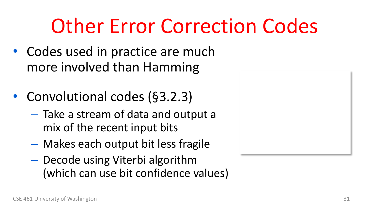#### Other Error Correction Codes

- Codes used in practice are much more involved than Hamming
- Convolutional codes (§3.2.3)
	- Take a stream of data and output a mix of the recent input bits
	- Makes each output bit less fragile
	- Decode using Viterbi algorithm (which can use bit confidence values)

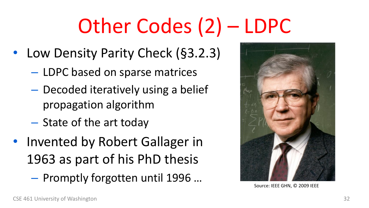# Other Codes (2) – LDPC

- Low Density Parity Check (§3.2.3)
	- LDPC based on sparse matrices
	- Decoded iteratively using a belief propagation algorithm
	- State of the art today
- Invented by Robert Gallager in 1963 as part of his PhD thesis
	- $-$  Promptly forgotten until 1996 ... Source: IEEE GHN, © 2009 IEEE

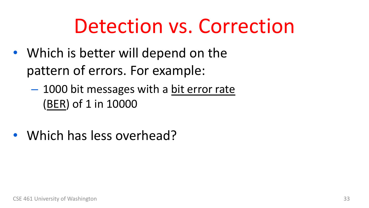#### Detection vs. Correction

- Which is better will depend on the pattern of errors. For example:
	- 1000 bit messages with a bit error rate (BER) of 1 in 10000
- Which has less overhead?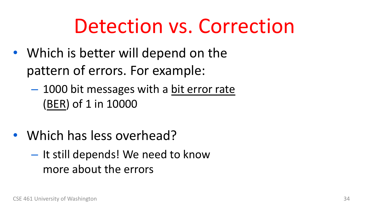#### Detection vs. Correction

- Which is better will depend on the pattern of errors. For example:
	- 1000 bit messages with a bit error rate (BER) of 1 in 10000
- Which has less overhead?
	- It still depends! We need to know more about the errors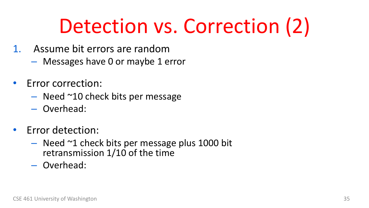## Detection vs. Correction (2)

- 1. Assume bit errors are random
	- Messages have 0 or maybe 1 error
- Error correction:
	- Need ~10 check bits per message
	- Overhead:
- Error detection:
	- $-$  Need  $\sim$ 1 check bits per message plus 1000 bit retransmission 1/10 of the time
	- Overhead: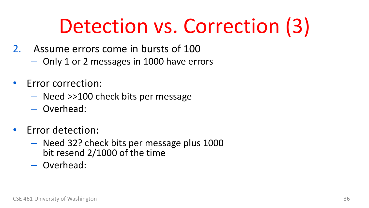## Detection vs. Correction (3)

- 2. Assume errors come in bursts of 100
	- Only 1 or 2 messages in 1000 have errors
- Error correction:
	- Need >>100 check bits per message
	- Overhead:
- Error detection:
	- Need 32? check bits per message plus 1000 bit resend 2/1000 of the time
	- Overhead: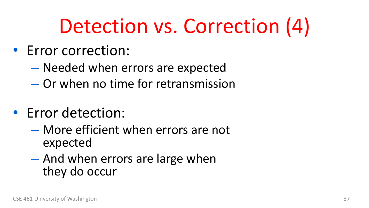## Detection vs. Correction (4)

- Error correction:
	- Needed when errors are expected
	- Or when no time for retransmission
- Error detection:
	- More efficient when errors are not expected
	- And when errors are large when they do occur